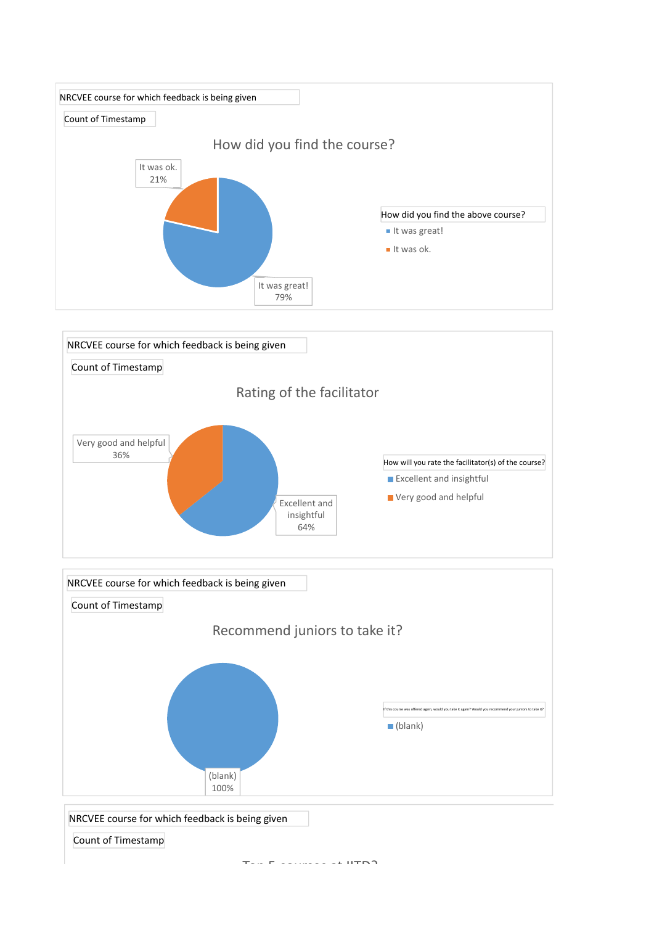





Top 5 courses at IITD?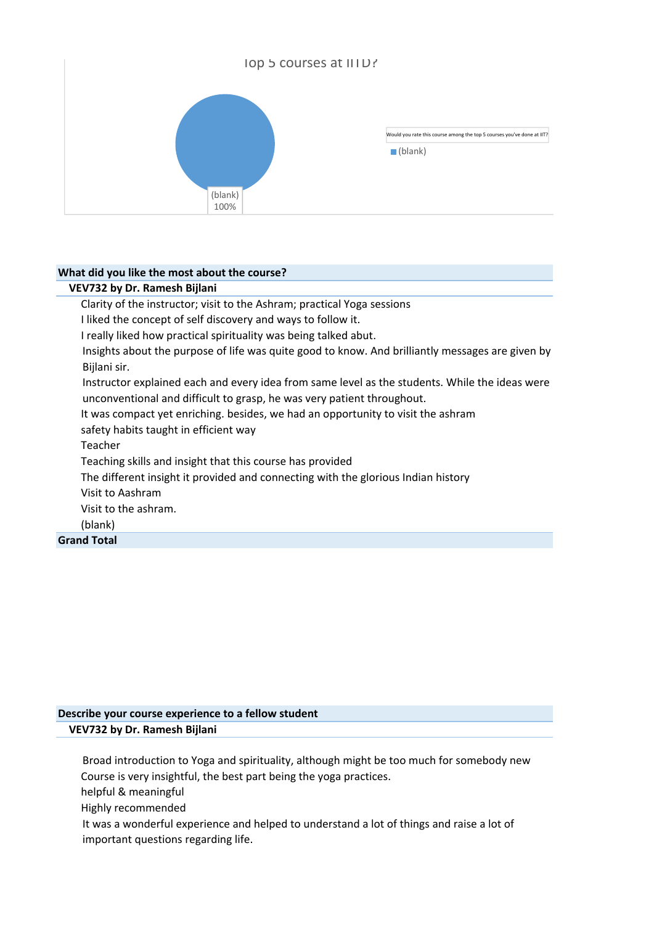

## **What did you like the most about the course?**

| Clarity of the instructor; visit to the Ashram; practical Yoga sessions                          |
|--------------------------------------------------------------------------------------------------|
|                                                                                                  |
| I liked the concept of self discovery and ways to follow it.                                     |
| I really liked how practical spirituality was being talked abut.                                 |
| Insights about the purpose of life was quite good to know. And brilliantly messages are given by |
| Bijlani sir.                                                                                     |
| Instructor explained each and every idea from same level as the students. While the ideas were   |
| unconventional and difficult to grasp, he was very patient throughout.                           |
| It was compact yet enriching. besides, we had an opportunity to visit the ashram                 |
| safety habits taught in efficient way                                                            |
| Teacher                                                                                          |
| Teaching skills and insight that this course has provided                                        |
| The different insight it provided and connecting with the glorious Indian history                |
| Visit to Aashram                                                                                 |
| Visit to the ashram.                                                                             |
| (blank)                                                                                          |
| <b>Grand Total</b>                                                                               |

## **Describe your course experience to a fellow student VEV732 by Dr. Ramesh Bijlani**

Broad introduction to Yoga and spirituality, although might be too much for somebody new Course is very insightful, the best part being the yoga practices.

helpful & meaningful

Highly recommended

It was a wonderful experience and helped to understand a lot of things and raise a lot of important questions regarding life.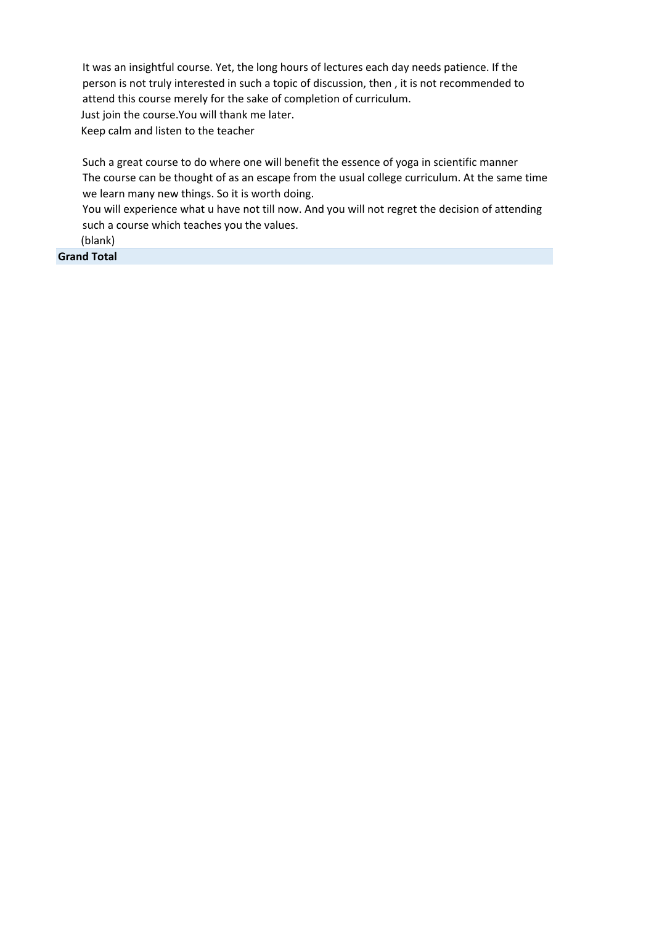It was an insightful course. Yet, the long hours of lectures each day needs patience. If the person is not truly interested in such a topic of discussion, then , it is not recommended to attend this course merely for the sake of completion of curriculum. Just join the course.You will thank me later. Keep calm and listen to the teacher

Such a great course to do where one will benefit the essence of yoga in scientific manner The course can be thought of as an escape from the usual college curriculum. At the same time we learn many new things. So it is worth doing.

You will experience what u have not till now. And you will not regret the decision of attending such a course which teaches you the values.

(blank)

**Grand Total**